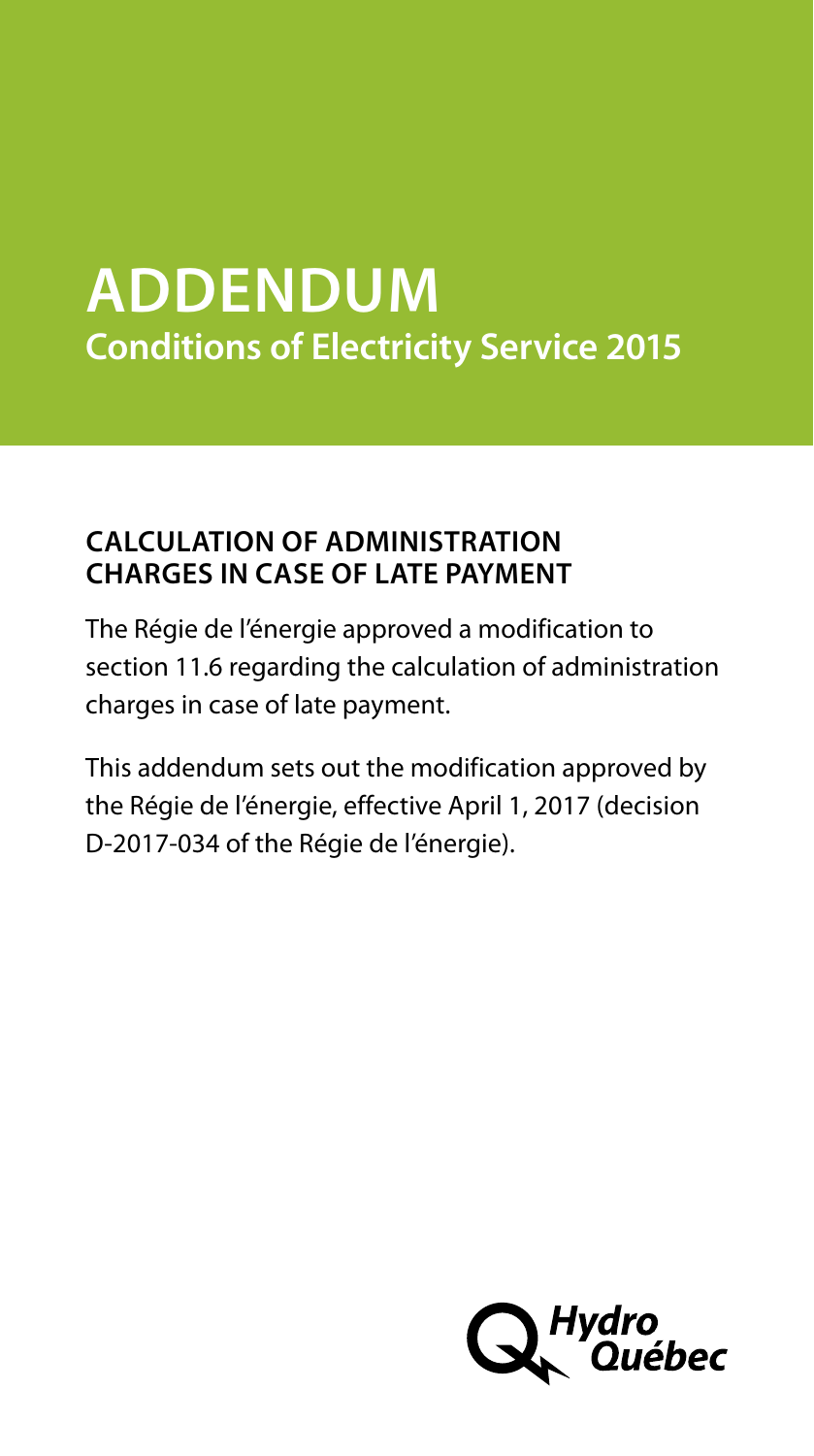# **ADDENDUM Conditions of Electricity Service 2015**

## **CALCULATION OF ADMINISTRATION CHARGES IN CASE OF LATE PAYMENT**

The Régie de l'énergie approved a modification to section 11.6 regarding the calculation of administration charges in case of late payment.

This addendum sets out the modification approved by the Régie de l'énergie, effective April 1, 2017 (decision D-2017-034 of the Régie de l'énergie).